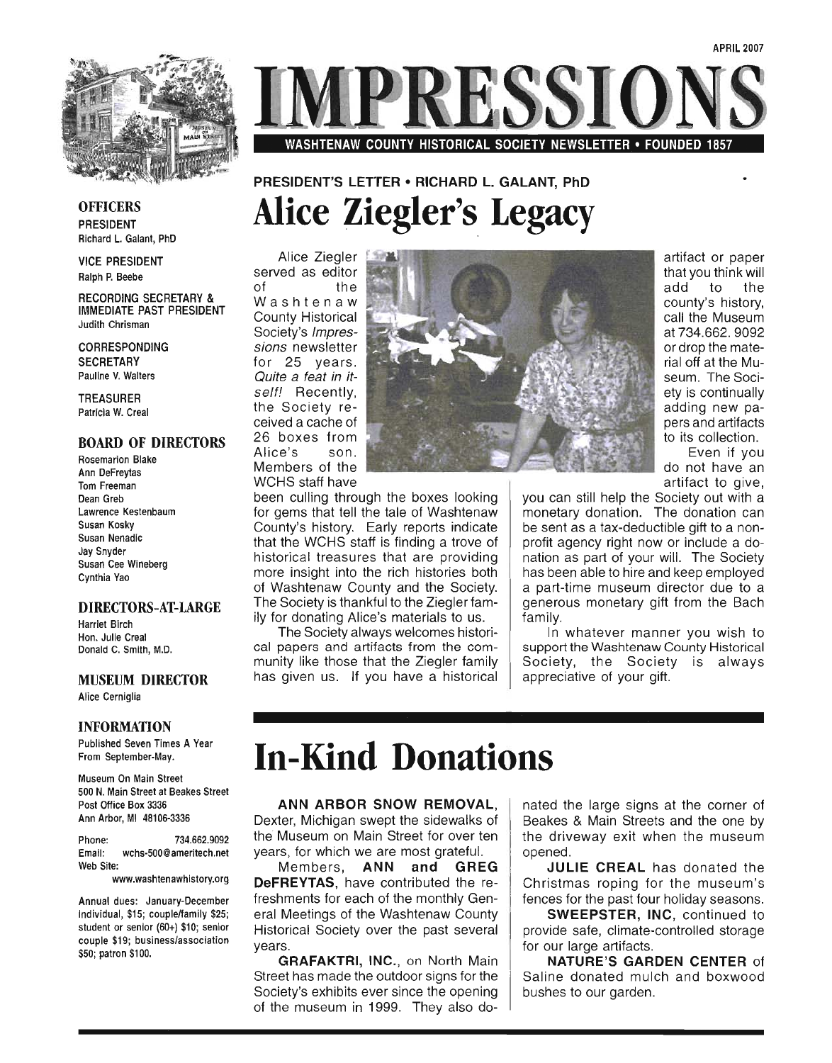

## RESSI WASHTENAW COUNTY HISTORICAL SOCIETY NEWSLETTER • FOUNDED 1857

### **OFFICERS** PRESIDENT Richard L. Galant, PhD

VICE PRESIDENT Ralph P. Beebe

RECORDING SECRETARY & IMMEDIATE PAST PRESIDENT Judith Chrisman

CORRESPONDING **SECRETARY** Pauline V. Walters

TREASURER Patricia W. Creal

### BOARD OF DIRECTORS

Rosemarion Blake Ann DeFreytas Tom Freeman Dean Greb Lawrence Kestenbaum Susan Kosky Susan Nenadic Jay Snyder Susan Cee Wineberg Cynthia Yao

### DIRECTORS-AT-LARGE

Harriet Birch Hon. Julie Creal Donald C. Smith, M.D.

### MUSEUM DIRECTOR

Alice Cerniglia

### INFORMATION

Published Seven Times A Year From September-May.

Museum On Main Street SOO N. Main Street at Beakes Street Post Office Box 3336 Ann Arbor, MI 48106-3336

Phone: 734.662.9092 Email: wchs-SOO@ameritech.net Web Site:

www.washtenawhistory.org

Annual dues: January-December individual, \$1S; couple/family \$2S; student or senior (60+) \$10; senior couple \$19; business/association \$SO; patron \$100.

### PRESIDENT'S LETTER • RICHARD L. GALANT. PhD **Alice Ziegler's. Legacy**

Alice Ziegler served as editor of the Washtenaw County Historical Society's Impressions newsletter for 25 years. Quite a feat in itself! Recently, the Society received a cache of 26 boxes from Alice's son. Members of the WCHS staff have

been culling through the boxes looking for gems that tell the tale of Washtenaw County's history. Early reports indicate that the WCHS staff is finding a trove of historical treasures that are providing more insight into the rich histories both of Washtenaw County and the Society. The Society is thankful to the Ziegler family for donating Alice's materials to us.

The Society always welcomes historical papers and artifacts from the community like those that the Ziegler family has given us. If you have a historical



artifact or paper that you think will add to the county's history, call the Museum at 734.662. 9092 or drop the material off at the Museum. The Society is continually adding new papers and artifacts to its collection.

Even if you do not have an artifact to give,

you can still help the Society out with a monetary donation. The donation can be sent as a tax-deductible gift to a nonprofit agency right now or include a donation as part of your will. The Society has been able to hire and keep employed a part-time museum director due to a generous monetary gift from the Bach family.

In whatever manner you wish to support the Washtenaw County Historical Society, the SOCiety is always appreciative of your gift.

## **In-Kind Donations**

ANN ARBOR SNOW REMOVAL, Dexter, Michigan swept the sidewalks of the' Museum on Main Street for over ten years, for which we are most grateful.

Members, ANN and GREG DeFREYTAS, have contributed the refreshments for each of the monthly General Meetings of the Washtenaw County Historical Society over the past several years.

GRAFAKTRI, INC., on North Main Street has made the outdoor signs for the Society's exhibits ever since the opening of the museum in 1999. They also donated the large signs at the corner of Beakes & Main Streets and the one by the driveway exit when the museum opened.

JULIE CREAL has donated the Christmas roping for the museum's fences for the past four holiday seasons.

SWEEPSTER, INC, continued to provide safe, climate-controlled storage for our large artifacts.

NATURE'S GARDEN CENTER of Saline donated mulch and boxwood bushes to our garden.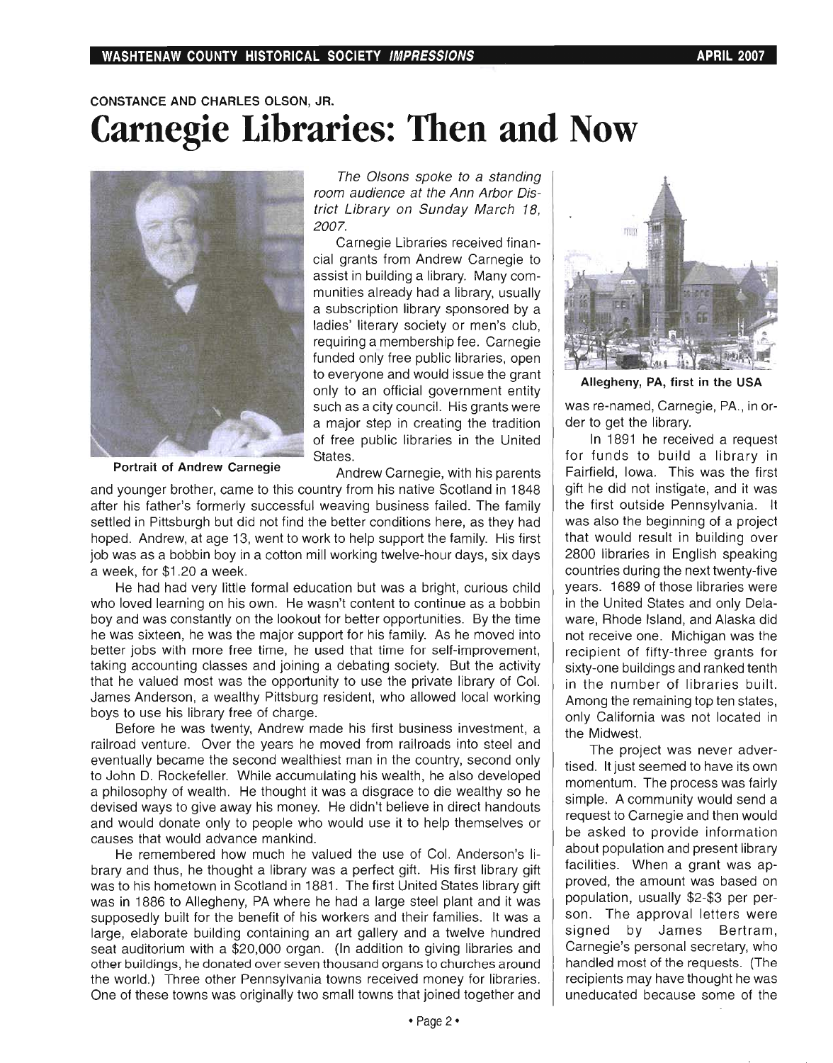### **CONSTANCE AND CHARLES OLSON, JR. Carnegie Libraries: Then and Now**



The Olsons spoke to a standing room audience at the Ann Arbor District Library on Sunday March 18, *2007.* 

Carnegie Libraries received financial grants from Andrew Carnegie to assist in building a library. Many communities already had a library, usually a subscription library sponsored by a ladies' literary society or men's club, requiring a membership fee. Carnegie funded only free public libraries, open to everyone and would issue the grant only to an official government entity such as a city council. His grants were a major step in creating the tradition of free public libraries in the United States.

**Portrait of Andrew Carnegie Andrew Carnegie**, with his parents

and younger brother, came to this country from his native Scotland in 1848 after his father's formerly successful weaving business failed. The family settled in Pittsburgh but did not find the better conditions here, as they had hoped. Andrew, at age 13, went to work to help support the family. His first job was as a bobbin boy in a cotton mill working twelve-hour days, six days a week, for \$1.20 a week.

He had had very little formal education but was a bright, curious child who loved learning on his own. He wasn't content to continue as a bobbin boy and was constantly on the lookout for better opportunities. By the time he was sixteen, he was the major support for his family. As he moved into better jobs with more free time, he used that time for self-improvement, taking accounting classes and joining a debating society. But the activity that he valued most was the opportunity to use the private library of Col. James Anderson, a wealthy Pittsburg resident, who allowed local working boys to use his library free of charge.

Before he was twenty, Andrew made his first business investment, a railroad venture. Over the years he moved from railroads into steel and eventually became the second wealthiest man in the country, second only to John D. Rockefeller. While accumulating his wealth, he also developed a philosophy of wealth. He thought it was a disgrace to die wealthy so he devised ways to give away his money. He didn't believe in direct handouts and would donate only to people who would use it to help themselves or causes that would advance mankind.

He remembered how much he valued the use of Col. Anderson's library and thus, he thought a library was a perfect gift. His first library gift was to his hometown in Scotland in 1881. The first United States library gift was in 1886 to Allegheny, PA where he had a large steel plant and it was supposedly built for the benefit of his workers and their families. It was a large, elaborate building containing an art gallery and a twelve hundred seat auditorium with a \$20,000 organ. (In addition to giving libraries and other buildings, he donated over seven thousand organs to churches around the world.) Three other Pennsylvania towns received money for libraries. One of these towns was originally two small towns that joined together and



**Allegheny, PA, first in the USA** 

was re-named, Carnegie, PA., in order to get the library.

In 1891 he received a request for funds to build a library in Fairfield, Iowa. This was the first gift he did not instigate, and it was the first outside Pennsylvania. It was also the beginning of a project that would result in building over 2800 libraries in English speaking countries during the next twenty-five years. 1689 of those libraries were in the United States and only Delaware, Rhode Island, and Alaska did not receive one. Michigan was the recipient of fifty-three grants for sixty-one buildings and ranked tenth in the number of libraries built. Among the remaining top ten states, only California was not located in the Midwest.

The project was never advertised. It just seemed to have its own momentum. The process was fairly simple. A community would send a request to Carnegie and then would be asked to provide information about population and present library facilities. When a grant was approved, the amount was based on population, usually \$2-\$3 per person. The approval letters were signed by James Bertram, Carnegie's personal secretary, who handled most of the requests. (The recipients may have thought he was uneducated because some of the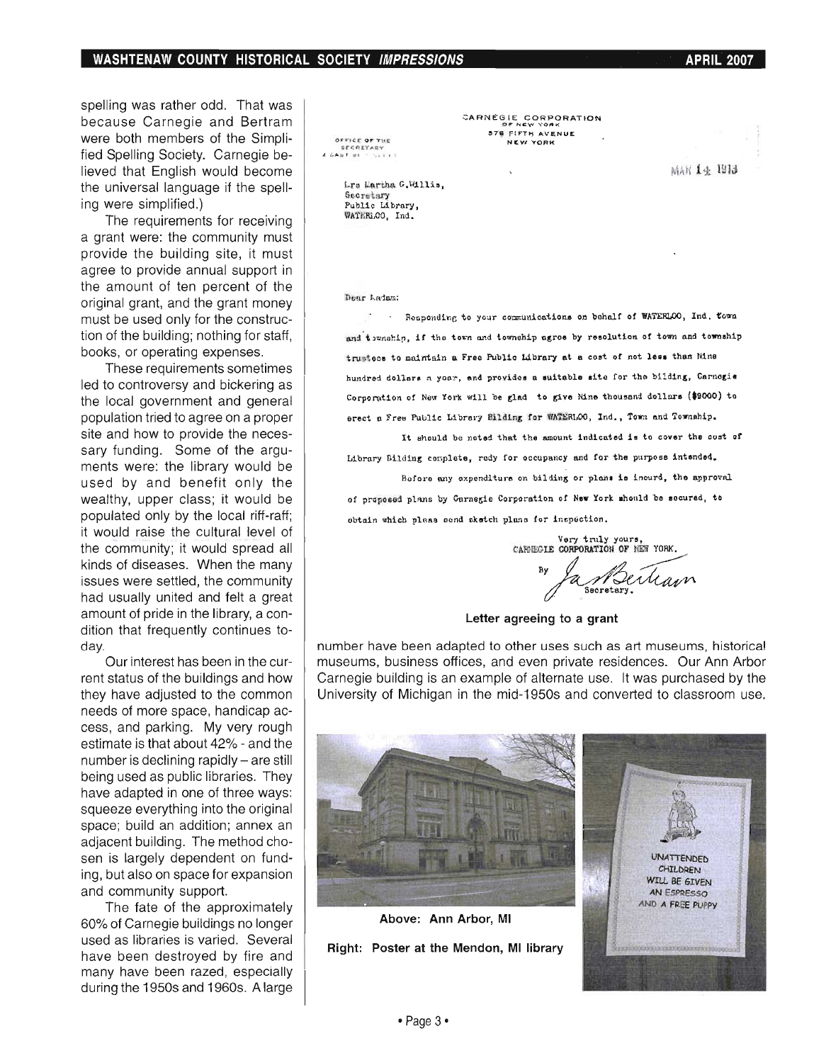spelling was rather odd. That was because Carnegie and Bertram were both members of the Simplified Spelling Society. Carnegie believed that English would become the universal language if the spelling were simplified.)

The requirements for receiving a grant were: the community must provide the building site, it must agree to provide annual support in the amount of ten percent of the original grant, and the grant money must be used only for the construction of the building; nothing for staff, books, or operating expenses.

These requirements sometimes led to controversy and bickering as the local government and general population tried to agree on a proper site and how to provide the necessary funding. Some of the arguments were: the library would be used by and benefit only the wealthy, upper class; it would be populated only by the local riff-raff; it would raise the cultural level of the community; it would spread all kinds of diseases. When the many issues were settled, the community had usually united and felt a great amount of pride in the library, a condition that frequently continues today\_

Our interest has been in the current status of the buildings and how they have adjusted to the common needs of more space, handicap access, and parking. My very rough estimate is that about 42% - and the number is declining rapidly - are still being used as public libraries. They have adapted in one of three ways: squeeze everything into the original space; build an addition; annex an adjacent building. The method chosen is largely dependent on funding, but also on space for expansion and community support.

The fate of the approximately 60% of Carnegie buildings no longer used as libraries is varied. Several have been destroyed by fire and many have been razed, especially during the 1950s and 1960s. A large

OFFICE OF THE srenayar<br>+ ,,. til \* ,,. CARNEGIE CORPORATION 576 FIFTH AVENUE NEW YORK

MAK 14 1913

Lrs Martha G.Willis. **Secretary** Public Librory , WAtERLOO, Ind.

Dear Ladam:

. Rosponding to your communications on behalf of WATERLOO, Ind. Cown and township, if the town and township agree by resolution of town and township trustees to maintain a Free Public Library at a cost of not less than Nine hundred dollars a yoar, and provides a suitable site for the bilding, Carnogia Corporation of New York will be glad to give Nine thousand dollars (\$9000) to erect a Free Public Library Bilding for WATERLOO, Ind., Town and Township.

It should be noted that the amount indicated is to cover the cost of Library Bilding complete, redy for occupancy and for the purpose intended.

Before any expenditure on bilding or plans is incurd, the approval of proposed plans by Carnegie Corporation of New York should be secured, to obtain which pleas send aketch plans for inepection.

Very truly yours,<br>CARNEGIE CORPORATION OF NEW YORK.

 $\sim$  C We Man

Letter agreeing to a grant

number have been adapted to other uses such as art museums, historical museums, business offices, and even private residences. Our Ann Arbor Carnegie building is an example of alternate use. It was purchased by the University of Michigan in the mid-1950s and converted to classroom use.

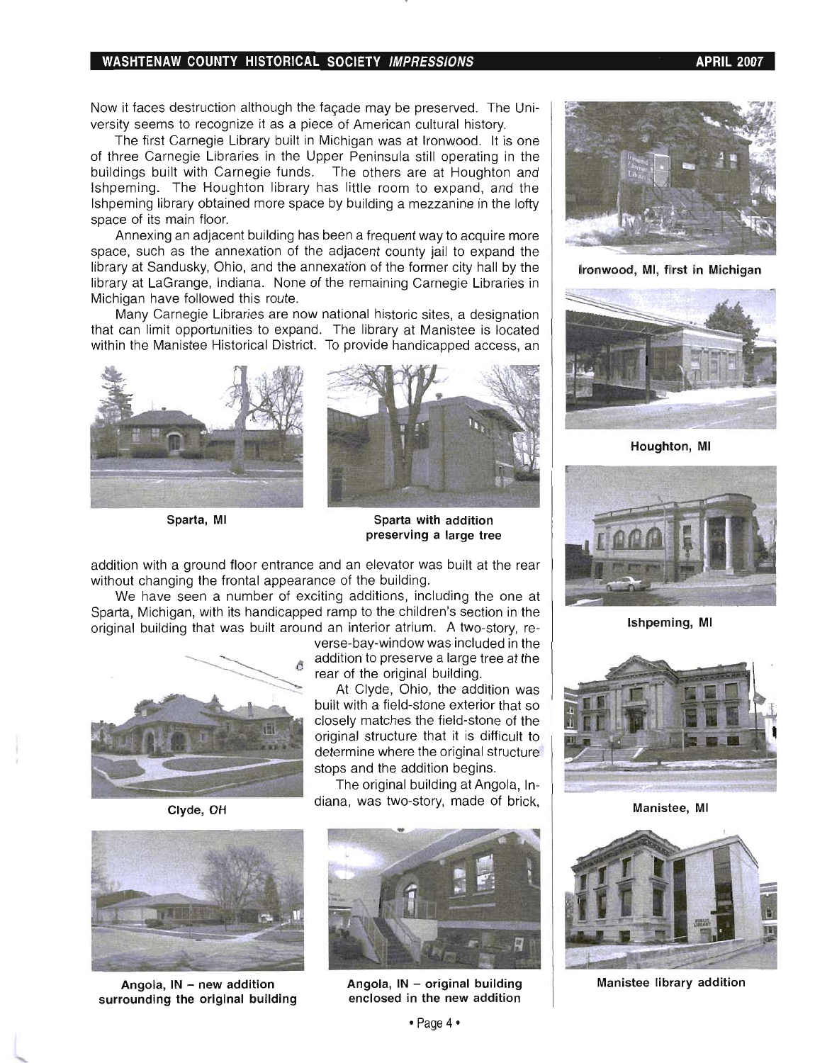### WASHTENAW COUNTY HISTORICAL SOCIETY *IMPRESSIONS* APRIL 2007 APRIL 2007

Now it faces destruction although the façade may be preserved. The University seems to recognize it as a piece of American cultural history.

The first Carnegie Library built in Michigan was at Ironwood. It is one of three Carnegie Libraries in the Upper Peninsula still operating in the buildings built with Carnegie funds. The others are at Houghton and Ishpeming. The Houghton library has little room to expand, and the Ishpeming library obtained more space by building a mezzanine in the lofty space of its main floor.

Annexing an adjacent building has been a frequent way to acquire more space, such as the annexation of the adjacent county jail to expand the library at Sandusky, Ohio, and the annexation of the former city hall by the library at LaGrange, Indiana. None of the remaining Carnegie Libraries in Michigan have followed this route.

Many Carnegie Libraries are now national historic sites, a designation that can limit opportunities to expand. The library at Manistee is located within the Manistee Historical District. To provide handicapped access, an







Sparta, MI Sparta with addition preserving a large tree

addition with a ground floor entrance and an elevator was built at the rear without changing the frontal appearance of the building.

We have seen a number of exciting additions, including the one at Sparta, Michigan, with its handicapped ramp to the children's section in the original building that was built around an interior atrium. A two-story, re-



Clyde, OH



Angola,  $IN - new$  addition surrounding the original building



built with a field-stone exterior that so closely matches the field-stone of the original structure that it is difficult to determine where the original structure stops and the addition begins.

The original building at Angola, Indiana, was two-story, made of brick,



Angola,  $IN - original$  building enclosed in the new addition



Ironwood, MI, first in Michigan



Houghton, MI



Ishpeming, MI



Manistee, MI



Manistee library addition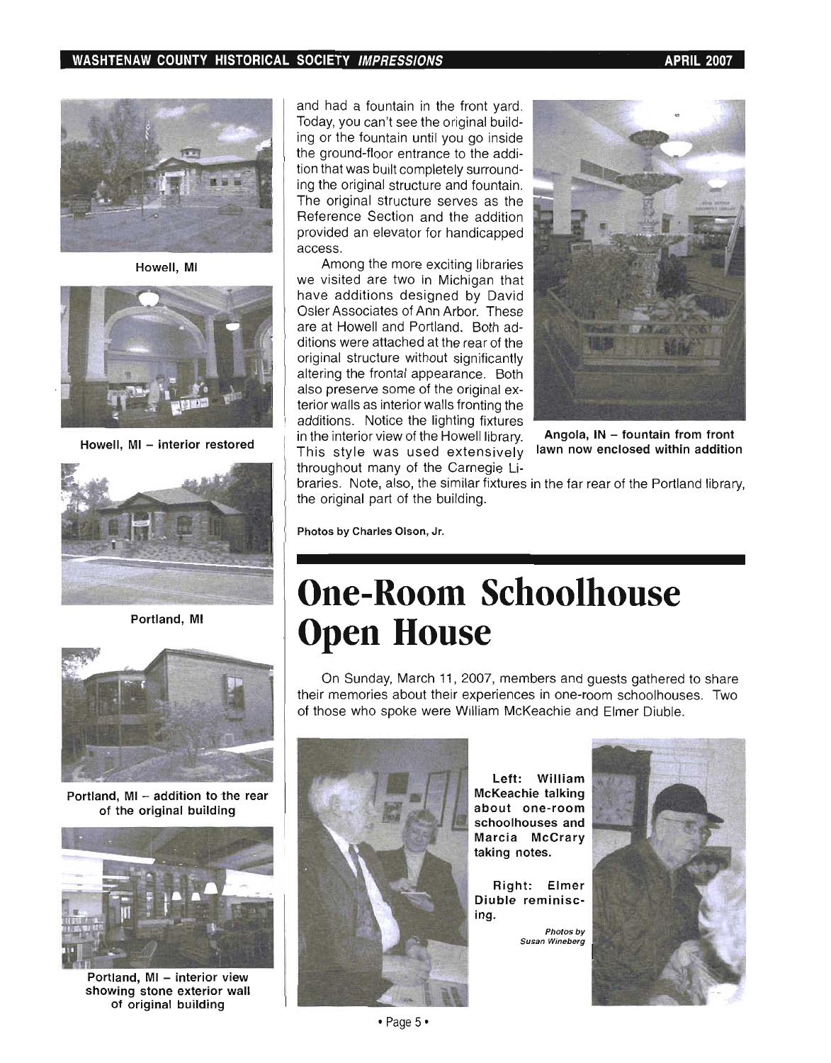

Howell, MI



Howell, MI - interior restored



Portland, MI



Portland, MI - addition to the rear of the original building



Portland, MI - interior view showing stone exterior wall of original building

and had a fountain in the front yard. Today, you can't see the original building or the fountain until you go inside the ground-floor entrance to the addition that was built completely surrounding the original structure and fountain. The original structure serves as the Reference Section and the addition provided an elevator for handicapped access.

Among the more exciting libraries we visited are two in Michigan that have additions designed by David Osler Associates of Ann Arbor. These are at Howell and Portland. Both additions were attached at the rear of the original structure without significantly altering the frontal appearance. Both also preserve some of the original exterior walls as interior walls fronting the additions. Notice the lighting fixtures in the interior view of the Howell library. Angola,  $IN -$  fountain from front This style was used extensively lawn now enclosed within addition throughout many of the Carnegie Li-



braries. Note, also, the similar fixtures in the far rear of the Portland library, the original part of the building.

Photos by Charles Olson, Jr.

## **One-Room Schoolhouse Open House**

On Sunday, March 11, 2007, members and guests gathered to share their memories about their experiences in one-room schoolhouses. Two of those who spoke were William McKeachie and Elmer Diuble.



Left: William McKeachie talking about one-room schoolhouses and Marcia McCrary taking notes.

Right: Elmer Diuble reminiscing.

> Photos by Susan Wineberg

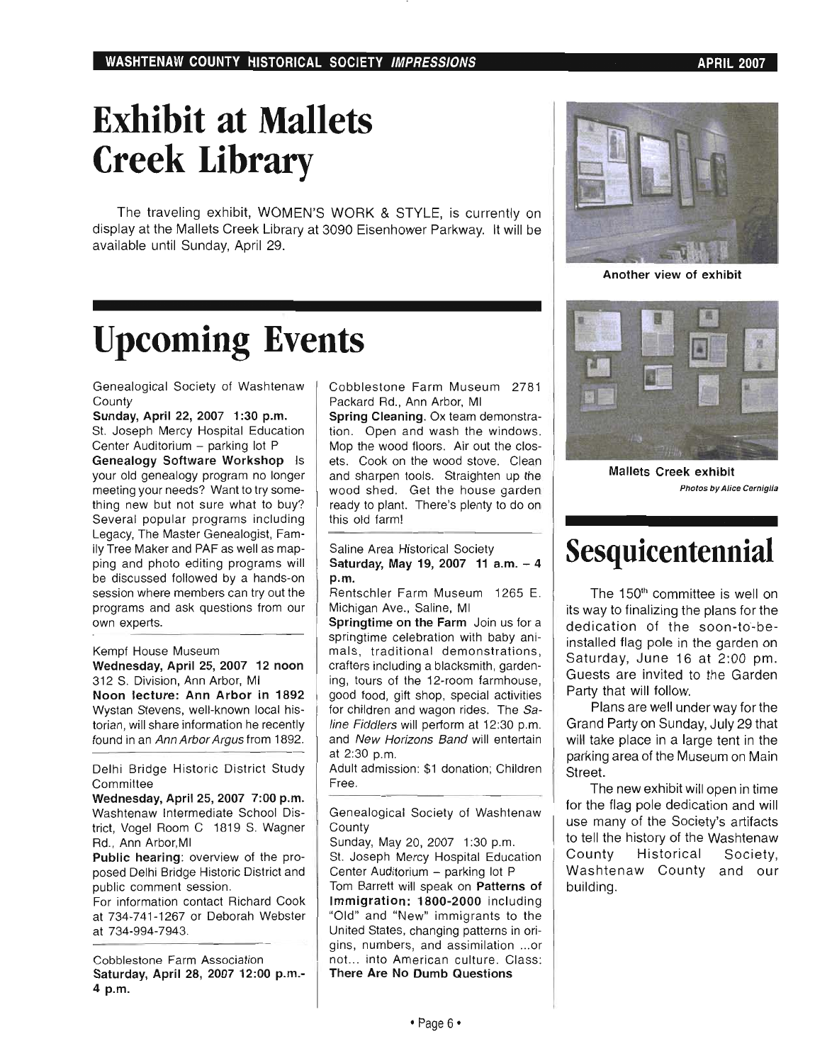## **Exhibit at Mallets Creek Library**

The traveling exhibit, WOMEN'S WORK & STYLE, is currently on display at the Mallets Creek Library at 3090 Eisenhower Parkway. It will be available until Sunday, April 29.

## **Upcoming Events**

Genealogical Society of Washtenaw **County** 

Sunday, April 22, 2007 1:30 p.m. St. Joseph Mercy Hospital Education Center Auditorium - parking lot P

Genealogy Software Workshop Is your old genealogy program no longer meeting your needs? Want to try something new but not sure what to buy? Several popular programs including Legacy, The Master Genealogist, Family Tree Maker and PAF as well as mapping and photo editing programs will be discussed followed by a hands-on session where members can try out the programs and ask questions from our own experts.

#### Kempf House Museum

Wednesday, April 25, 2007 12 noon 312 S. Division, Ann Arbor, MI Noon lecture: Ann Arbor in 1892 Wystan Stevens, well-known local historian, will share information he recently found in an Ann Arbor Argus from 1892.

Delhi Bridge Historic District Study **Committee** 

Wednesday, April 25, 2007 7:00 p.m. Washtenaw Intermediate School District, Vogel Room C 1819 S. Wagner Rd., Ann Arbor,MI

Public hearing: overview of the proposed Delhi Bridge Historic District and public comment session.

For information contact Richard Cook at 734-741-1267 or Deborah Webster at 734-994-7943.

Cobblestone Farm Association Saturday, April 28, 2007 12:00 p.m.- 4 p.m.

Cobblestone Farm Museum 2781 Packard Rd., Ann Arbor, MI

Spring Cleaning. Ox team demonstration. Open and wash the windows. Mop the wood floors. Air out the closets. Cook on the wood stove. Clean and sharpen tools. Straighten up the wood shed. Get the house garden ready to plant. There's plenty to do on this old farm!

### Saline Area Historical Society Saturday, May 19, 2007 11 a.m. - 4 p.m.

Rentschler Farm Museum 1265 E. Michigan Ave., Saline, MI

Springtime on the Farm Join us for a springtime celebration with baby animals, traditional demonstrations, crafters including a blacksmith, gardening, tours of the 12-room farmhouse, good food, gift shop, special activities for children and wagon rides. The Saline Fiddlers will perform at 12:30 p.m. and New Horizons Band will entertain at 2:30 p.m.

Adult admission: \$1 donation; Children Free.

Genealogical Society of Washtenaw **County** 

Sunday, May 20, 2007 1:30 p.m. St. Joseph Mercy Hospital Education Center Auditorium - parking lot P Tom Barrett will speak on Patterns of Immigration: 1800-2000 including "Old" and "New" immigrants to the United States, changing patterns in origins, numbers, and assimilation ... or not... into American culture. Class: There Are No Dumb Questions



Another view of exhibit



Mallets Creek exhibit Photos by Alice Cerniglia

### **Sesquicentennial**

The 150<sup>th</sup> committee is well on its way to finalizing the plans for the dedication of the soon-to-beinstalled flag pole in the garden on Saturday, June 16 at 2:00 pm. Guests are invited to the Garden Party that will follow.

Plans are well under way for the Grand Party on Sunday, July 29 that will take place in a large tent in the parking area of the Museum on Main Street.

The new exhibit will open in time for the flag pole dedication and will use many of the Society's artifacts to tell the history of the Washtenaw County Historical Society, Washtenaw County and our building.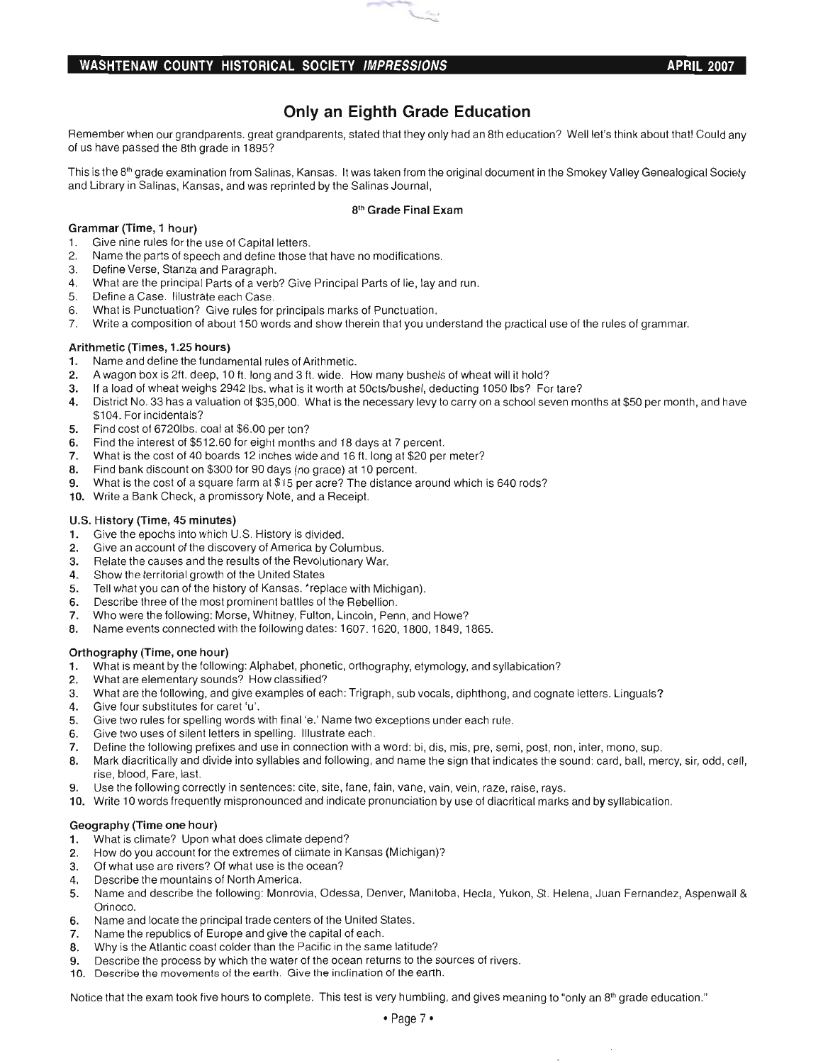### WASHTENAW COUNTY HISTORICAL SOCIETY IMPRESSIONS **APRIL 2007**

### Only an Eighth Grade Education

Remember when our grandparents. great grandparents, stated that they only had an 8th education? Well let's think about that! Could any of us have passed the 8th grade in 1895?

This is the 8<sup>th</sup> grade examination from Salinas, Kansas. It was taken from the original document in the Smokey Valley Genealogical Society and Library in Salinas, Kansas, and was reprinted by the Salinas Journal,

### 8th Grade Final Exam

### Grammar (Time, 1 hour)

- 1. Give nine rules for the use of Capital letters.
- 2. Name the parts of speech and define those that have no modifications.
- ivanie trie parts of speech and define the
- 4. What are the principal Parts of a verb? Give Principal Parts of lie, lay and run.
- 5. Define a Case. Illustrate each Case.
- 6. What is Punctuation? Give rules for principals marks of Punctuation.
- 7. Write a composition of about 150 words and show therein that you understand the practical use of the rules of grammar.

### Arithmetic (Times, 1.25 hours)

- 1. Name and define the fundamental rules of Arithmetic.
- 2. A wagon box is 2ft. deep, 10ft. long and 3 ft. wide. How many bushels of wheat will it hold?
- 3. If a load of wheat weighs 2942 Ibs. what is it worth at 50cts/bushel, deducting 1050 Ibs? For tare?
- $\frac{1}{2}$  district No. 33  $\frac{1}{2}$  and  $\frac{1}{2}$  substrict No. 33  $\frac{1}{2}$  is the necessary levy to carry on a school serves and have  $\frac{1}{2}$  for a value of  $\frac{1}{2}$  for a value of  $\frac{1}{2}$  and have  $\frac{1}{2}$  for an  $104.$  For incidentals  $0.$
- \$104. For incidentals?<br>5. Find cost of 6720lbs. coal at \$6.00 per ton?
- 6. Find the interest of \$512.60 for eight months and 18 days at 7 percent.
- 7. What is the cost of 40 boards 12 inches wide and 16 ft. long at \$20 per meter?
- 8. Find bank discount on \$300 for 90 days (no grace) at 10 percent.
- 9. What is the cost of a square farm at \$15 per acre? The distance around which is 640 rods?
- 10. Write a Bank Check, a promissory Note, and a Receipt.

### U.S. History (Time, 45 minutes)

- 1. Give the epochs into which U.S. History is divided.
- 2. Give an account of the discovery of America by Columbus.
- 3. Relate the causes and the results of the Revolutionary War. 3. Relate the causes and the results of the Revolutionary War.<br>4. Show the territorial growth of the United States
- 
- 5. Tell what you can of the history of Kansas. ' replace with Michigan).
- 6. Describe three of the most prominent battles of the Rebellion.
- Presence three or the most prominent pattes or the Repetition.
- with were the following. Name events connected with the following data and the following dates: 1607. 1620, 1849, 1865.

### Orthography (Time, one hour)

- 1. What is meant by the following: Alphabet, phonetic, orthography, etymology, and syllabication?
- 2. What are elementary sounds? How classified?
- 3. What are the following, and give examples of each: Trigraph, sub vocals, diphthong, and cognate letters. Linguals?
- 4. Give four substitutes for caret 'u'.
- 5. Give two rules for spelling words with final 'e.' Name two exceptions under each rule.
- 6. Give two uses of silent letters in spelling. Illustrate each.
- 7. Define the following prefixes and use in connection with a word: bi, dis, mis, pre, semi, post, non, inter, mono, sup.
- Be a serious diacritical divide into the same that indicates which in the sound: card, mercy, mercy, mercy, sup ain ulaufillually and us 9. Use the following correctly in sentences: cite, site, fane, fain, vane, vain, vein, raze, raise, rays.
- 
- 10. Write 10 words frequently mispronounced and indicate pronunciation by use of diacritical marks and by syllabication.

### Geography (Time one hour)

- 1. What is climate? Upon what does climate depend?
- 2. How do you account for the extremes of climate in Kansas (Michigan)?
- 3. Of what use are rivers? Of what use is the ocean?
- 4. Describe the mountains of North America.
- 5. Name and describe the following: Monrovia, Odessa, Denver, Manitoba, Hecla, Yukon, St. Helena, Juan Fernandez, Aspenwall & anic anu<br>......
- 6. Name and locate the principal trade centers of the United States.
- 7. Name the republics of Europe and give the capital of each.
- 8. Why is the Atlantic coast colder than the Pacific in the same latitude?
- 99. Describe the process by which the process by which the sources of rivers.  $10^{\circ}$  Describe the process by which the water of the ocean returns to the sour
- 

Notice that the exam took five hours to complete. This test is very humbling, and gives meaning to "only an 8<sup>th</sup> grade education."